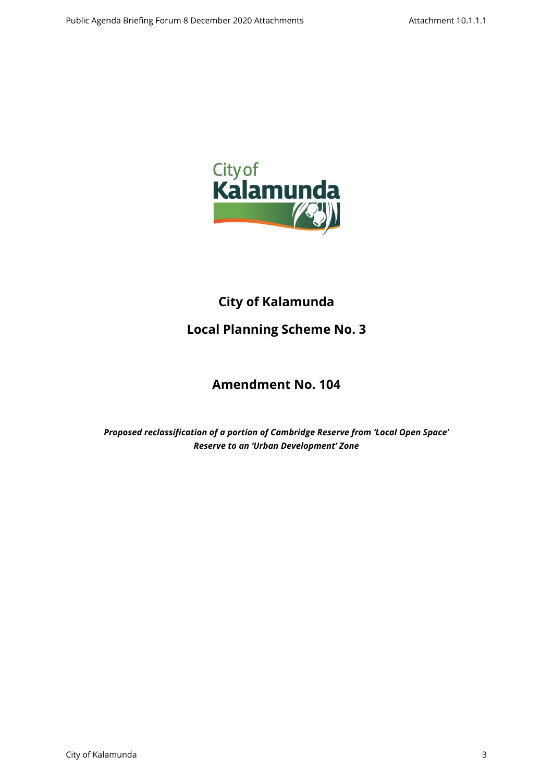

# **City of Kalamunda**

# **Local Planning Scheme No. 3**

# **Amendment No. 104**

*Proposed reclassification of a portion of Cambridge Reserve from 'Local Open Space' Reserve to an 'Urban Development' Zone*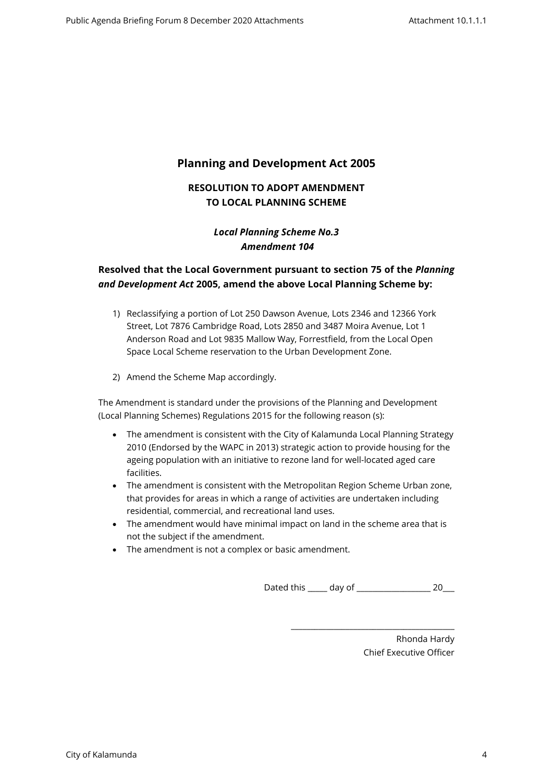# **Planning and Development Act 2005**

## **RESOLUTION TO ADOPT AMENDMENT TO LOCAL PLANNING SCHEME**

## *Local Planning Scheme No.3 Amendment 104*

## **Resolved that the Local Government pursuant to section 75 of the** *Planning and Development Act* **2005, amend the above Local Planning Scheme by:**

- 1) Reclassifying a portion of Lot 250 Dawson Avenue, Lots 2346 and 12366 York Street, Lot 7876 Cambridge Road, Lots 2850 and 3487 Moira Avenue, Lot 1 Anderson Road and Lot 9835 Mallow Way, Forrestfield, from the Local Open Space Local Scheme reservation to the Urban Development Zone.
- 2) Amend the Scheme Map accordingly.

The Amendment is standard under the provisions of the Planning and Development (Local Planning Schemes) Regulations 2015 for the following reason (s):

- The amendment is consistent with the City of Kalamunda Local Planning Strategy 2010 (Endorsed by the WAPC in 2013) strategic action to provide housing for the ageing population with an initiative to rezone land for well-located aged care facilities.
- The amendment is consistent with the Metropolitan Region Scheme Urban zone, that provides for areas in which a range of activities are undertaken including residential, commercial, and recreational land uses.
- The amendment would have minimal impact on land in the scheme area that is not the subject if the amendment.
- The amendment is not a complex or basic amendment.

Dated this \_\_\_\_\_ day of \_\_\_\_\_\_\_\_\_\_\_\_\_\_\_\_\_\_\_ 20\_\_\_

\_\_\_\_\_\_\_\_\_\_\_\_\_\_\_\_\_\_\_\_\_\_\_\_\_\_\_\_\_\_\_\_\_\_\_\_\_\_\_\_\_\_

Rhonda Hardy Chief Executive Officer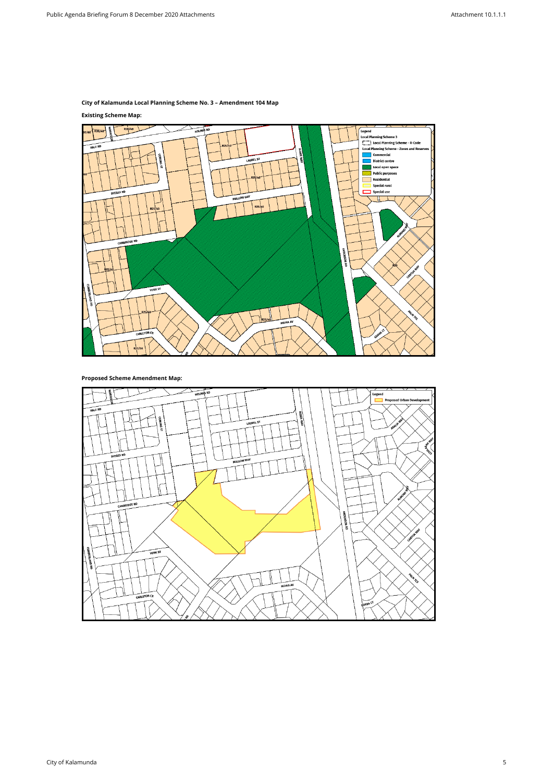## **City of Kalamunda Local Planning Scheme No. 3 – Amendment 104 Map**

## **Existing Scheme Map:**



### **Proposed Scheme Amendment Map:**

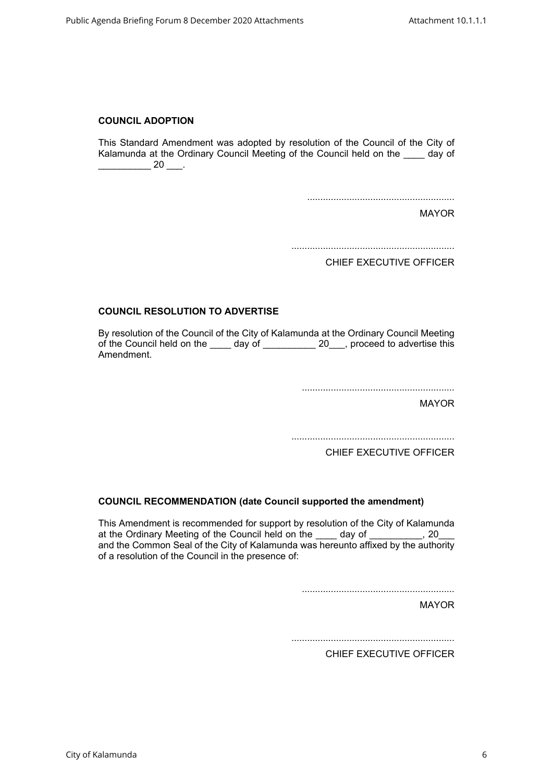### **COUNCIL ADOPTION**

This Standard Amendment was adopted by resolution of the Council of the City of Kalamunda at the Ordinary Council Meeting of the Council held on the \_\_\_\_ day of  $\frac{20}{\ldots}$ .

........................................................

MAYOR

..............................................................

CHIEF EXECUTIVE OFFICER

### **COUNCIL RESOLUTION TO ADVERTISE**

By resolution of the Council of the City of Kalamunda at the Ordinary Council Meeting of the Council held on the \_\_\_\_\_ day of \_\_\_\_\_\_\_\_\_\_ 20\_\_\_, proceed to advertise this Amendment.

..........................................................

MAYOR

..............................................................

CHIEF EXECUTIVE OFFICER

#### **COUNCIL RECOMMENDATION (date Council supported the amendment)**

This Amendment is recommended for support by resolution of the City of Kalamunda at the Ordinary Meeting of the Council held on the \_\_\_\_ day of \_\_\_\_\_\_\_\_\_, 20\_ and the Common Seal of the City of Kalamunda was hereunto affixed by the authority of a resolution of the Council in the presence of:

..........................................................

MAYOR

..............................................................

CHIEF EXECUTIVE OFFICER